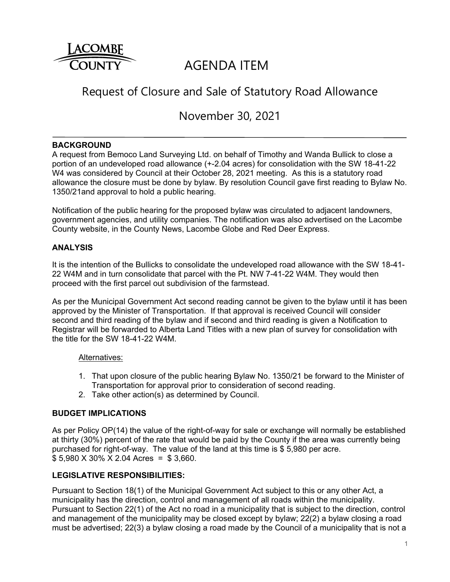

# AGENDA ITEM

# Request of Closure and Sale of Statutory Road Allowance

November 30, 2021

#### **BACKGROUND**

A request from Bemoco Land Surveying Ltd. on behalf of Timothy and Wanda Bullick to close a portion of an undeveloped road allowance (+-2.04 acres) for consolidation with the SW 18-41-22 W4 was considered by Council at their October 28, 2021 meeting. As this is a statutory road allowance the closure must be done by bylaw. By resolution Council gave first reading to Bylaw No. 1350/21and approval to hold a public hearing.

Notification of the public hearing for the proposed bylaw was circulated to adjacent landowners, government agencies, and utility companies. The notification was also advertised on the Lacombe County website, in the County News, Lacombe Globe and Red Deer Express.

## **ANALYSIS**

It is the intention of the Bullicks to consolidate the undeveloped road allowance with the SW 18-41- 22 W4M and in turn consolidate that parcel with the Pt. NW 7-41-22 W4M. They would then proceed with the first parcel out subdivision of the farmstead.

As per the Municipal Government Act second reading cannot be given to the bylaw until it has been approved by the Minister of Transportation. If that approval is received Council will consider second and third reading of the bylaw and if second and third reading is given a Notification to Registrar will be forwarded to Alberta Land Titles with a new plan of survey for consolidation with the title for the SW 18-41-22 W4M.

#### Alternatives:

- 1. That upon closure of the public hearing Bylaw No. 1350/21 be forward to the Minister of Transportation for approval prior to consideration of second reading.
- 2. Take other action(s) as determined by Council.

#### **BUDGET IMPLICATIONS**

As per Policy OP(14) the value of the right-of-way for sale or exchange will normally be established at thirty (30%) percent of the rate that would be paid by the County if the area was currently being purchased for right-of-way. The value of the land at this time is \$ 5,980 per acre. \$ 5,980 X 30% X 2.04 Acres = \$ 3,660.

# **LEGISLATIVE RESPONSIBILITIES:**

Pursuant to Section 18(1) of the Municipal Government Act subject to this or any other Act, a municipality has the direction, control and management of all roads within the municipality. Pursuant to Section 22(1) of the Act no road in a municipality that is subject to the direction, control and management of the municipality may be closed except by bylaw; 22(2) a bylaw closing a road must be advertised; 22(3) a bylaw closing a road made by the Council of a municipality that is not a